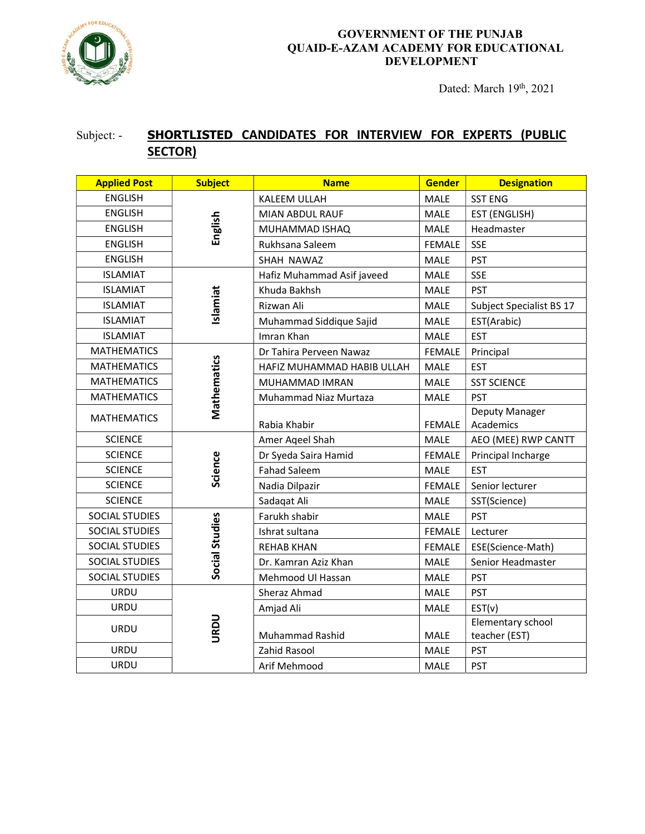

#### GOVERNMENT OF THE PUNJAB QUAID-E-AZAM ACADEMY FOR EDUCATIONAL DEVELOPMENT

Dated: March 19th, 2021

## Subject: - SHORTLISTED CANDIDATES FOR INTERVIEW FOR EXPERTS (PUBLIC SECTOR)

| <b>Applied Post</b>   | <b>Subject</b> | <b>Name</b>                | <b>Gender</b>                | <b>Designation</b>       |
|-----------------------|----------------|----------------------------|------------------------------|--------------------------|
| <b>ENGLISH</b>        | English        | KALEEM ULLAH               | <b>MALE</b>                  | <b>SST ENG</b>           |
| <b>ENGLISH</b>        |                | MIAN ABDUL RAUF            | MALE                         | EST (ENGLISH)            |
| <b>ENGLISH</b>        |                | MUHAMMAD ISHAQ             | <b>MALE</b>                  | Headmaster               |
| <b>ENGLISH</b>        |                | Rukhsana Saleem            | <b>FEMALE</b>                | <b>SSE</b>               |
| <b>ENGLISH</b>        |                | SHAH NAWAZ                 | MALE                         | <b>PST</b>               |
| <b>ISLAMIAT</b>       | Islamiat       | Hafiz Muhammad Asif javeed | MALE                         | <b>SSE</b>               |
| <b>ISLAMIAT</b>       |                | Khuda Bakhsh               | <b>MALE</b>                  | <b>PST</b>               |
| <b>ISLAMIAT</b>       |                | Rizwan Ali                 | MALE                         | Subject Specialist BS 17 |
| <b>ISLAMIAT</b>       |                | Muhammad Siddique Sajid    | MALE                         | EST(Arabic)              |
| <b>ISLAMIAT</b>       |                | Imran Khan                 | MALE                         | <b>EST</b>               |
| <b>MATHEMATICS</b>    | Mathematics    | Dr Tahira Perveen Nawaz    | <b>FEMALE</b>                | Principal                |
| <b>MATHEMATICS</b>    |                | HAFIZ MUHAMMAD HABIB ULLAH | MALE                         | <b>EST</b>               |
| <b>MATHEMATICS</b>    |                | MUHAMMAD IMRAN             | MALE                         | <b>SST SCIENCE</b>       |
| <b>MATHEMATICS</b>    |                | Muhammad Niaz Murtaza      | MALE                         | <b>PST</b>               |
| <b>MATHEMATICS</b>    |                |                            |                              | Deputy Manager           |
|                       |                | Rabia Khabir               | <b>FEMALE</b>                | Academics                |
| <b>SCIENCE</b>        |                | Amer Ageel Shah            | MALE                         | AEO (MEE) RWP CANTT      |
| <b>SCIENCE</b>        | Science        | Dr Syeda Saira Hamid       | <b>FEMALE</b>                | Principal Incharge       |
| <b>SCIENCE</b>        |                | <b>Fahad Saleem</b>        | <b>MALE</b>                  | <b>EST</b>               |
| <b>SCIENCE</b>        |                | Nadia Dilpazir             | <b>FEMALE</b>                | Senior lecturer          |
| <b>SCIENCE</b>        |                | Sadaqat Ali                | MALE                         | SST(Science)             |
| SOCIAL STUDIES        |                | Farukh shabir              | <b>MALE</b>                  | <b>PST</b>               |
| SOCIAL STUDIES        | Social Studies | Ishrat sultana             | <b>FEMALE</b>                | Lecturer                 |
| SOCIAL STUDIES        |                | <b>REHAB KHAN</b>          | <b>FEMALE</b>                | ESE(Science-Math)        |
| SOCIAL STUDIES        |                | Dr. Kamran Aziz Khan       | <b>MALE</b>                  | Senior Headmaster        |
| <b>SOCIAL STUDIES</b> |                | Mehmood Ul Hassan          | MALE                         | <b>PST</b>               |
| <b>URDU</b>           | URDU           | Sheraz Ahmad               | <b>MALE</b>                  | <b>PST</b>               |
| <b>URDU</b>           |                | Amjad Ali                  | MALE                         | EST(v)                   |
| <b>URDU</b>           |                |                            |                              | Elementary school        |
|                       |                | <b>Muhammad Rashid</b>     | <b>MALE</b><br>teacher (EST) |                          |
| URDU                  |                | Zahid Rasool               | MALE                         | <b>PST</b>               |
| URDU                  |                | Arif Mehmood               | MALE                         | <b>PST</b>               |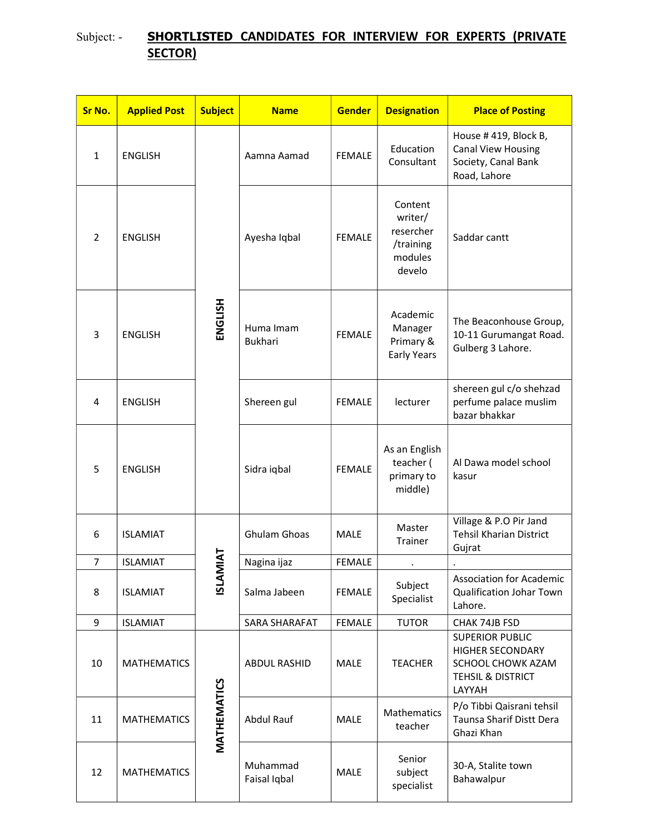# Subject: - SHORTLISTED CANDIDATES FOR INTERVIEW FOR EXPERTS (PRIVATE SECTOR)

| Sr No.         | <b>Applied Post</b>           | <b>Subject</b> | <b>Name</b>                 | <b>Gender</b> | <b>Designation</b>                                                | <b>Place of Posting</b>                                                                               |
|----------------|-------------------------------|----------------|-----------------------------|---------------|-------------------------------------------------------------------|-------------------------------------------------------------------------------------------------------|
| $\mathbf{1}$   | <b>ENGLISH</b>                | ENGLISH        | Aamna Aamad                 | <b>FEMALE</b> | Education<br>Consultant                                           | House #419, Block B,<br><b>Canal View Housing</b><br>Society, Canal Bank<br>Road, Lahore              |
| $\overline{2}$ | <b>ENGLISH</b>                |                | Ayesha Iqbal                | <b>FEMALE</b> | Content<br>writer/<br>resercher<br>/training<br>modules<br>develo | Saddar cantt                                                                                          |
| 3              | <b>ENGLISH</b>                |                | Huma Imam<br><b>Bukhari</b> | <b>FEMALE</b> | Academic<br>Manager<br>Primary &<br>Early Years                   | The Beaconhouse Group,<br>10-11 Gurumangat Road.<br>Gulberg 3 Lahore.                                 |
| 4              | <b>ENGLISH</b>                |                | Shereen gul                 | <b>FEMALE</b> | lecturer                                                          | shereen gul c/o shehzad<br>perfume palace muslim<br>bazar bhakkar                                     |
| 5              | <b>ENGLISH</b>                |                | Sidra iqbal                 | <b>FEMALE</b> | As an English<br>teacher (<br>primary to<br>middle)               | Al Dawa model school<br>kasur                                                                         |
| 6              | <b>ISLAMIAT</b>               |                | <b>Ghulam Ghoas</b>         | <b>MALE</b>   | Master<br>Trainer                                                 | Village & P.O Pir Jand<br><b>Tehsil Kharian District</b><br>Gujrat                                    |
| 7              | <b>IAT</b><br><b>ISLAMIAT</b> | Nagina ijaz    | <b>FEMALE</b>               |               |                                                                   |                                                                                                       |
| 8              | <b>ISLAMIAT</b>               | <b>ISLAMI</b>  | Salma Jabeen                | <b>FEMALE</b> | Subject<br>Specialist                                             | <b>Association for Academic</b><br><b>Qualification Johar Town</b><br>Lahore.                         |
| 9              | <b>ISLAMIAT</b>               |                | SARA SHARAFAT               | <b>FEMALE</b> | <b>TUTOR</b>                                                      | CHAK 74JB FSD                                                                                         |
| 10             | <b>MATHEMATICS</b>            | MATHEMATICS    | ABDUL RASHID                | <b>MALE</b>   | <b>TEACHER</b>                                                    | <b>SUPERIOR PUBLIC</b><br><b>HIGHER SECONDARY</b><br>SCHOOL CHOWK AZAM<br>TEHSIL & DISTRICT<br>LAYYAH |
| 11             | <b>MATHEMATICS</b>            |                | Abdul Rauf                  | <b>MALE</b>   | Mathematics<br>teacher                                            | P/o Tibbi Qaisrani tehsil<br>Taunsa Sharif Distt Dera<br>Ghazi Khan                                   |
| 12             | <b>MATHEMATICS</b>            |                | Muhammad<br>Faisal Iqbal    | <b>MALE</b>   | Senior<br>subject<br>specialist                                   | 30-A, Stalite town<br>Bahawalpur                                                                      |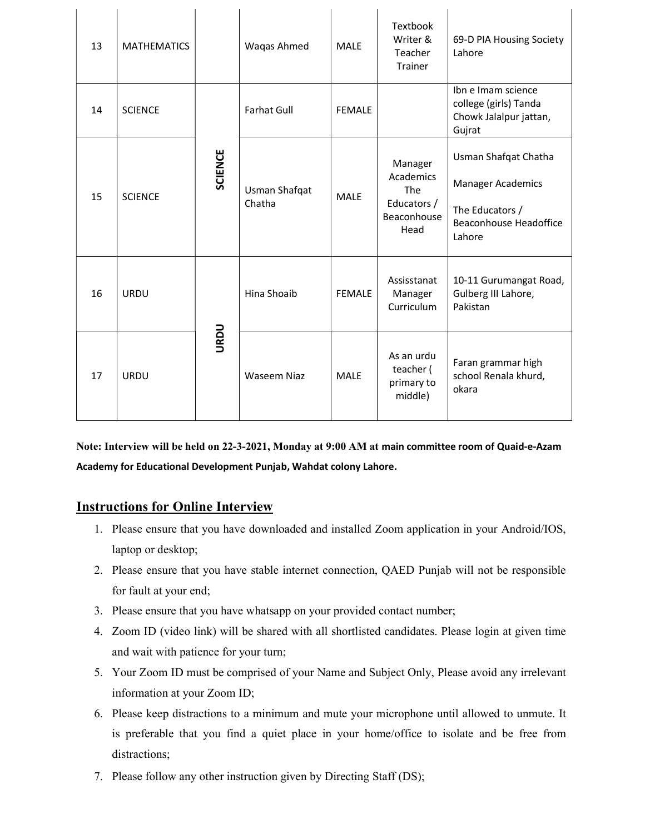| 13 | <b>MATHEMATICS</b> |         | Waqas Ahmed             | <b>MALE</b>   | Textbook<br>Writer &<br>Teacher<br>Trainer                               | 69-D PIA Housing Society<br>Lahore                                                                      |
|----|--------------------|---------|-------------------------|---------------|--------------------------------------------------------------------------|---------------------------------------------------------------------------------------------------------|
| 14 | <b>SCIENCE</b>     | SCIENCE | <b>Farhat Gull</b>      | <b>FEMALE</b> |                                                                          | Ibn e Imam science<br>college (girls) Tanda<br>Chowk Jalalpur jattan,<br>Gujrat                         |
| 15 | <b>SCIENCE</b>     |         | Usman Shafqat<br>Chatha | <b>MALE</b>   | Manager<br>Academics<br><b>The</b><br>Educators /<br>Beaconhouse<br>Head | Usman Shafqat Chatha<br><b>Manager Academics</b><br>The Educators /<br>Beaconhouse Headoffice<br>Lahore |
| 16 | <b>URDU</b>        | URDU    | Hina Shoaib             | <b>FEMALE</b> | Assisstanat<br>Manager<br>Curriculum                                     | 10-11 Gurumangat Road,<br>Gulberg III Lahore,<br>Pakistan                                               |
| 17 | <b>URDU</b>        |         | <b>Waseem Niaz</b>      | <b>MALE</b>   | As an urdu<br>teacher (<br>primary to<br>middle)                         | Faran grammar high<br>school Renala khurd,<br>okara                                                     |

Note: Interview will be held on 22-3-2021, Monday at 9:00 AM at main committee room of Quaid-e-Azam Academy for Educational Development Punjab, Wahdat colony Lahore.

### Instructions for Online Interview

 $\overline{1}$ 

- 1. Please ensure that you have downloaded and installed Zoom application in your Android/IOS, laptop or desktop;
- 2. Please ensure that you have stable internet connection, QAED Punjab will not be responsible for fault at your end;
- 3. Please ensure that you have whatsapp on your provided contact number;
- 4. Zoom ID (video link) will be shared with all shortlisted candidates. Please login at given time and wait with patience for your turn;
- 5. Your Zoom ID must be comprised of your Name and Subject Only, Please avoid any irrelevant information at your Zoom ID;
- 6. Please keep distractions to a minimum and mute your microphone until allowed to unmute. It is preferable that you find a quiet place in your home/office to isolate and be free from distractions;
- 7. Please follow any other instruction given by Directing Staff (DS);